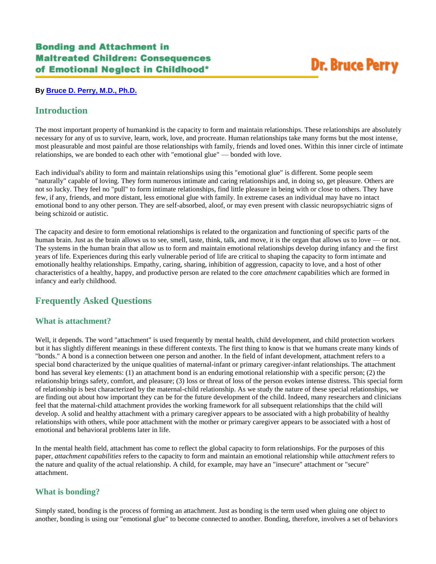# **Dr. Bruce Perry**

#### **By [Bruce D. Perry, M.D., Ph.D.](http://teacher.scholastic.com/professional/bruceperry/bonding.htm#author)**

## **Introduction**

The most important property of humankind is the capacity to form and maintain relationships. These relationships are absolutely necessary for any of us to survive, learn, work, love, and procreate. Human relationships take many forms but the most intense, most pleasurable and most painful are those relationships with family, friends and loved ones. Within this inner circle of intimate relationships, we are bonded to each other with "emotional glue" — bonded with love.

Each individual's ability to form and maintain relationships using this "emotional glue" is different. Some people seem "naturally" capable of loving. They form numerous intimate and caring relationships and, in doing so, get pleasure. Others are not so lucky. They feel no "pull" to form intimate relationships, find little pleasure in being with or close to others. They have few, if any, friends, and more distant, less emotional glue with family. In extreme cases an individual may have no intact emotional bond to any other person. They are self-absorbed, aloof, or may even present with classic neuropsychiatric signs of being schizoid or autistic.

The capacity and desire to form emotional relationships is related to the organization and functioning of specific parts of the human brain. Just as the brain allows us to see, smell, taste, think, talk, and move, it is the organ that allows us to love — or not. The systems in the human brain that allow us to form and maintain emotional relationships develop during infancy and the first years of life. Experiences during this early vulnerable period of life are critical to shaping the capacity to form intimate and emotionally healthy relationships. Empathy, caring, sharing, inhibition of aggression, capacity to love, and a host of other characteristics of a healthy, happy, and productive person are related to the core *attachment* capabilities which are formed in infancy and early childhood.

# **Frequently Asked Questions**

### **What is attachment?**

Well, it depends. The word "attachment" is used frequently by mental health, child development, and child protection workers but it has slightly different meanings in these different contexts. The first thing to know is that we humans create many kinds of "bonds." A bond is a connection between one person and another. In the field of infant development, attachment refers to a special bond characterized by the unique qualities of maternal-infant or primary caregiver-infant relationships. The attachment bond has several key elements: (1) an attachment bond is an enduring emotional relationship with a specific person; (2) the relationship brings safety, comfort, and pleasure; (3) loss or threat of loss of the person evokes intense distress. This special form of relationship is best characterized by the maternal-child relationship. As we study the nature of these special relationships, we are finding out about how important they can be for the future development of the child. Indeed, many researchers and clinicians feel that the maternal-child attachment provides the working framework for all subsequent relationships that the child will develop. A solid and healthy attachment with a primary caregiver appears to be associated with a high probability of healthy relationships with others, while poor attachment with the mother or primary caregiver appears to be associated with a host of emotional and behavioral problems later in life.

In the mental health field, attachment has come to reflect the global capacity to form relationships. For the purposes of this paper, *attachment capabilities* refers to the capacity to form and maintain an emotional relationship while *attachment* refers to the nature and quality of the actual relationship. A child, for example, may have an "insecure" attachment or "secure" attachment.

## **What is bonding?**

Simply stated, bonding is the process of forming an attachment. Just as bonding is the term used when gluing one object to another, bonding is using our "emotional glue" to become connected to another. Bonding, therefore, involves a set of behaviors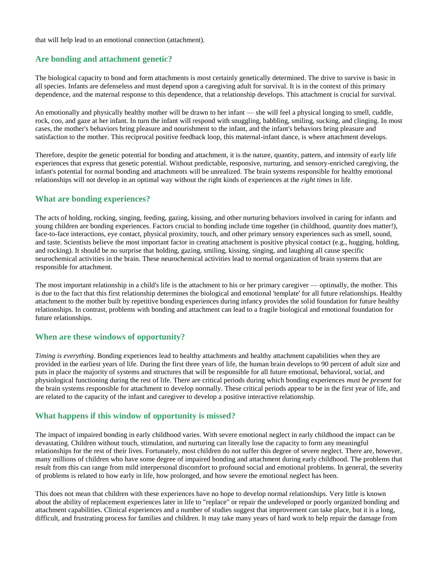that will help lead to an emotional connection (attachment).

#### **Are bonding and attachment genetic?**

The biological capacity to bond and form attachments is most certainly genetically determined. The drive to survive is basic in all species. Infants are defenseless and must depend upon a caregiving adult for survival. It is in the context of this primary dependence, and the maternal response to this dependence, that a relationship develops. This attachment is crucial for survival.

An emotionally and physically healthy mother will be drawn to her infant — she will feel a physical longing to smell, cuddle, rock, coo, and gaze at her infant. In turn the infant will respond with snuggling, babbling, smiling, sucking, and clinging. In most cases, the mother's behaviors bring pleasure and nourishment to the infant, and the infant's behaviors bring pleasure and satisfaction to the mother. This reciprocal positive feedback loop, this maternal-infant dance, is where attachment develops.

Therefore, despite the genetic potential for bonding and attachment, it is the nature, quantity, pattern, and intensity of early life experiences that express that genetic potential. Without predictable, responsive, nurturing, and sensory-enriched caregiving, the infant's potential for normal bonding and attachments will be unrealized. The brain systems responsible for healthy emotional relationships will not develop in an optimal way without the right kinds of experiences at the *right times* in life.

#### **What are bonding experiences?**

The acts of holding, rocking, singing, feeding, gazing, kissing, and other nurturing behaviors involved in caring for infants and young children are bonding experiences. Factors crucial to bonding include time together (in childhood, *quantity* does matter!), face-to-face interactions, eye contact, physical proximity, touch, and other primary sensory experiences such as smell, sound, and taste. Scientists believe the most important factor in creating attachment is positive physical contact (e.g., hugging, holding, and rocking). It should be no surprise that holding, gazing, smiling, kissing, singing, and laughing all cause specific neurochemical activities in the brain. These neurochemical activities lead to normal organization of brain systems that are responsible for attachment.

The most important relationship in a child's life is the attachment to his or her primary caregiver — optimally, the mother. This is due to the fact that this first relationship determines the biological and emotional 'template' for all future relationships. Healthy attachment to the mother built by repetitive bonding experiences during infancy provides the solid foundation for future healthy relationships. In contrast, problems with bonding and attachment can lead to a fragile biological and emotional foundation for future relationships.

### **When are these windows of opportunity?**

*Timing is everything*. Bonding experiences lead to healthy attachments and healthy attachment capabilities when they are provided in the earliest years of life. During the first three years of life, the human brain develops to 90 percent of adult size and puts in place the majority of systems and structures that will be responsible for all future emotional, behavioral, social, and physiological functioning during the rest of life. There are critical periods during which bonding experiences *must be present* for the brain systems responsible for attachment to develop normally. These critical periods appear to be in the first year of life, and are related to the capacity of the infant and caregiver to develop a positive interactive relationship.

### **What happens if this window of opportunity is missed?**

The impact of impaired bonding in early childhood varies. With severe emotional neglect in early childhood the impact can be devastating. Children without touch, stimulation, and nurturing can literally lose the capacity to form any meaningful relationships for the rest of their lives. Fortunately, most children do not suffer this degree of severe neglect. There are, however, many millions of children who have some degree of impaired bonding and attachment during early childhood. The problems that result from this can range from mild interpersonal discomfort to profound social and emotional problems. In general, the severity of problems is related to how early in life, how prolonged, and how severe the emotional neglect has been.

This does not mean that children with these experiences have no hope to develop normal relationships. Very little is known about the ability of replacement experiences later in life to "replace" or repair the undeveloped or poorly organized bonding and attachment capabilities. Clinical experiences and a number of studies suggest that improvement can take place, but it is a long, difficult, and frustrating process for families and children. It may take many years of hard work to help repair the damage from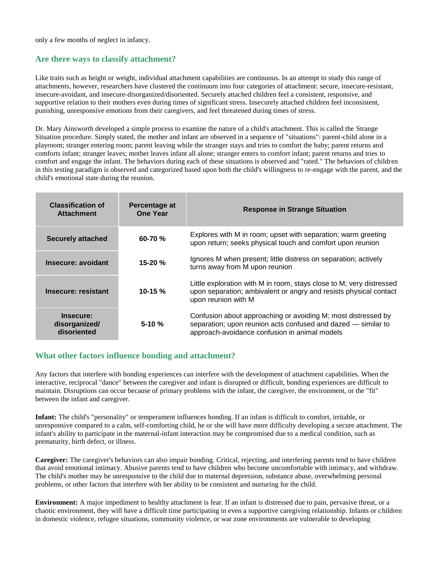only a few months of neglect in infancy.

#### **Are there ways to classify attachment?**

Like traits such as height or weight, individual attachment capabilities are continuous. In an attempt to study this range of attachments, however, researchers have clustered the continuum into four categories of attachment: secure, insecure-resistant, insecure-avoidant, and insecure-disorganized/disoriented. Securely attached children feel a consistent, responsive, and supportive relation to their mothers even during times of significant stress. Insecurely attached children feel inconsistent, punishing, unresponsive emotions from their caregivers, and feel threatened during times of stress.

Dr. Mary Ainsworth developed a simple process to examine the nature of a child's attachment. This is called the Strange Situation procedure. Simply stated, the mother and infant are observed in a sequence of "situations": parent-child alone in a playroom; stranger entering room; parent leaving while the stranger stays and tries to comfort the baby; parent returns and comforts infant; stranger leaves; mother leaves infant all alone; stranger enters to comfort infant; parent returns and tries to comfort and engage the infant. The behaviors during each of these situations is observed and "rated." The behaviors of children in this testing paradigm is observed and categorized based upon both the child's willingness to re-engage with the parent, and the child's emotional state during the reunion.

| <b>Classification of</b><br><b>Attachment</b> | Percentage at<br><b>One Year</b> | <b>Response in Strange Situation</b>                                                                                                                                            |
|-----------------------------------------------|----------------------------------|---------------------------------------------------------------------------------------------------------------------------------------------------------------------------------|
| <b>Securely attached</b>                      | $60 - 70$ %                      | Explores with M in room; upset with separation; warm greeting<br>upon return; seeks physical touch and comfort upon reunion                                                     |
| Insecure: avoidant                            | $15 - 20 \%$                     | Ignores M when present; little distress on separation; actively<br>turns away from M upon reunion                                                                               |
| Insecure: resistant                           | 10-15 $%$                        | Little exploration with M in room, stays close to M; very distressed<br>upon separation; ambivalent or angry and resists physical contact<br>upon reunion with M                |
| Insecure:<br>disorganized/<br>disoriented     | $5 - 10 \%$                      | Confusion about approaching or avoiding M; most distressed by<br>separation; upon reunion acts confused and dazed - similar to<br>approach-avoidance confusion in animal models |

#### **What other factors influence bonding and attachment?**

Any factors that interfere with bonding experiences can interfere with the development of attachment capabilities. When the interactive, reciprocal "dance" between the caregiver and infant is disrupted or difficult, bonding experiences are difficult to maintain. Disruptions can occur because of primary problems with the infant, the caregiver, the environment, or the "fit" between the infant and caregiver.

**Infant:** The child's "personality" or temperament influences bonding. If an infant is difficult to comfort, irritable, or unresponsive compared to a calm, self-comforting child, he or she will have more difficulty developing a secure attachment. The infant's ability to participate in the maternal-infant interaction may be compromised due to a medical condition, such as prematurity, birth defect, or illness.

**Caregiver:** The caregiver's behaviors can also impair bonding. Critical, rejecting, and interfering parents tend to have children that avoid emotional intimacy. Abusive parents tend to have children who become uncomfortable with intimacy, and withdraw. The child's mother may be unresponsive to the child due to maternal depression, substance abuse, overwhelming personal problems, or other factors that interfere with her ability to be consistent and nurturing for the child.

**Environment:** A major impediment to healthy attachment is fear. If an infant is distressed due to pain, pervasive threat, or a chaotic environment, they will have a difficult time participating in even a supportive caregiving relationship. Infants or children in domestic violence, refugee situations, community violence, or war zone environments are vulnerable to developing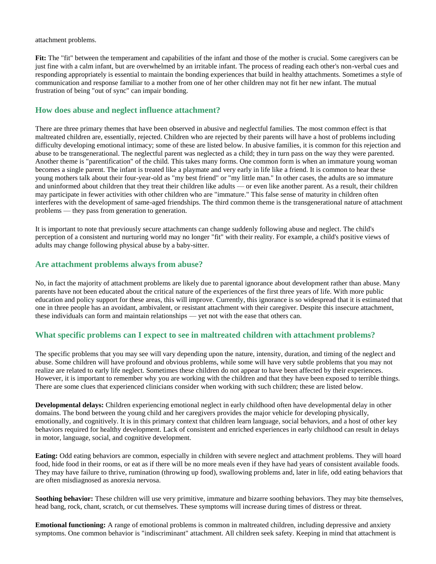attachment problems.

**Fit:** The "fit" between the temperament and capabilities of the infant and those of the mother is crucial. Some caregivers can be just fine with a calm infant, but are overwhelmed by an irritable infant. The process of reading each other's non-verbal cues and responding appropriately is essential to maintain the bonding experiences that build in healthy attachments. Sometimes a style of communication and response familiar to a mother from one of her other children may not fit her new infant. The mutual frustration of being "out of sync" can impair bonding.

#### **How does abuse and neglect influence attachment?**

There are three primary themes that have been observed in abusive and neglectful families. The most common effect is that maltreated children are, essentially, rejected. Children who are rejected by their parents will have a host of problems including difficulty developing emotional intimacy; some of these are listed below. In abusive families, it is common for this rejection and abuse to be transgenerational. The neglectful parent was neglected as a child; they in turn pass on the way they were parented. Another theme is "parentification" of the child. This takes many forms. One common form is when an immature young woman becomes a single parent. The infant is treated like a playmate and very early in life like a friend. It is common to hear these young mothers talk about their four-year-old as "my best friend" or "my little man." In other cases, the adults are so immature and uninformed about children that they treat their children like adults — or even like another parent. As a result, their children may participate in fewer activities with other children who are "immature." This false sense of maturity in children often interferes with the development of same-aged friendships. The third common theme is the transgenerational nature of attachment problems — they pass from generation to generation.

It is important to note that previously secure attachments can change suddenly following abuse and neglect. The child's perception of a consistent and nurturing world may no longer "fit" with their reality. For example, a child's positive views of adults may change following physical abuse by a baby-sitter.

#### **Are attachment problems always from abuse?**

No, in fact the majority of attachment problems are likely due to parental ignorance about development rather than abuse. Many parents have not been educated about the critical nature of the experiences of the first three years of life. With more public education and policy support for these areas, this will improve. Currently, this ignorance is so widespread that it is estimated that one in three people has an avoidant, ambivalent, or resistant attachment with their caregiver. Despite this insecure attachment, these individuals can form and maintain relationships — yet not with the ease that others can.

### **What specific problems can I expect to see in maltreated children with attachment problems?**

The specific problems that you may see will vary depending upon the nature, intensity, duration, and timing of the neglect and abuse. Some children will have profound and obvious problems, while some will have very subtle problems that you may not realize are related to early life neglect. Sometimes these children do not appear to have been affected by their experiences. However, it is important to remember why you are working with the children and that they have been exposed to terrible things. There are some clues that experienced clinicians consider when working with such children; these are listed below.

**Developmental delays:** Children experiencing emotional neglect in early childhood often have developmental delay in other domains. The bond between the young child and her caregivers provides the major vehicle for developing physically, emotionally, and cognitively. It is in this primary context that children learn language, social behaviors, and a host of other key behaviors required for healthy development. Lack of consistent and enriched experiences in early childhood can result in delays in motor, language, social, and cognitive development.

**Eating:** Odd eating behaviors are common, especially in children with severe neglect and attachment problems. They will hoard food, hide food in their rooms, or eat as if there will be no more meals even if they have had years of consistent available foods. They may have failure to thrive, rumination (throwing up food), swallowing problems and, later in life, odd eating behaviors that are often misdiagnosed as anorexia nervosa.

**Soothing behavior:** These children will use very primitive, immature and bizarre soothing behaviors. They may bite themselves, head bang, rock, chant, scratch, or cut themselves. These symptoms will increase during times of distress or threat.

**Emotional functioning:** A range of emotional problems is common in maltreated children, including depressive and anxiety symptoms. One common behavior is "indiscriminant" attachment. All children seek safety. Keeping in mind that attachment is